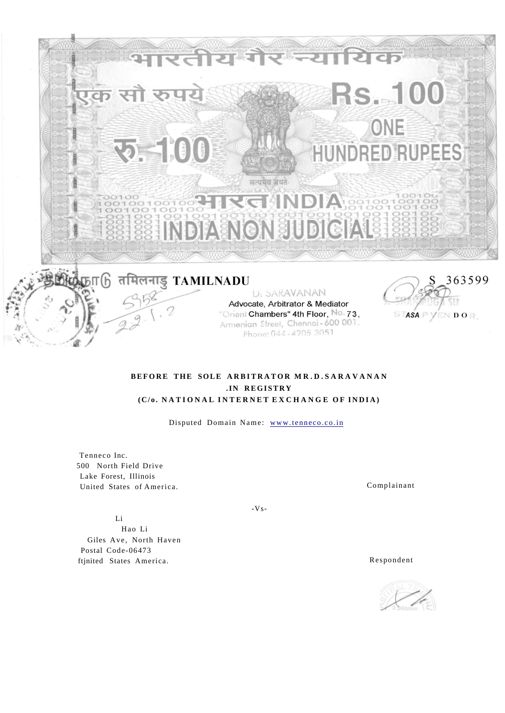

# **BEFORE THE SOLE ARBITRATOR MR.D.SARAVANAN .IN REGISTRY (C/o . NATIONA L INTERNE T EXCHANG E O F INDIA )**

Disputed Domain Name: www.tenneco.co.in

Tenneco Inc. 500 North Field Drive Lake Forest, Illinois United States of America. Complainant

Li

Hao Li Giles Ave, North Haven Postal Code-06473 ftjnited States America. Respondent

 $-Vs-$ 

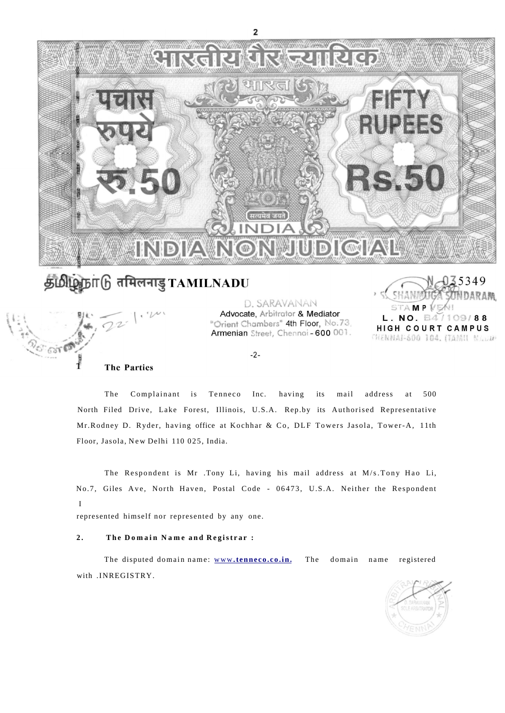

# தமிழ்நாடு எमिलनाडु TAMILNADU



D. SARAVANAN Advocate, Arbitrator & Mediator "Orient Chambers" 4th Floor, No.73, Armenian Street, Chennoi-600 001.



 $-2-$ 

The Complainant is Tenneco Inc. having its mail address at 500 North Filed Drive, Lake Forest, Illinois, U.S.A. Rep.by its Authorised Representative Mr.Rodney D. Ryder, having office at Kochhar & Co, DLF Towers Jasola, Tower-A, 11th Floor, Jasola, New Delhi 110 025, India.

The Respondent is Mr .Tony Li, having his mail address at M/s.Tony Hao Li, No.7, Giles Ave, North Haven, Postal Code - 06473, U.S.A. Neither the Respondent I

represented himself nor represented by any one.

# **2 . Th e Domai n Nam e an d Registra r :**

The disputed domain name: www[.tenneco.co.in.](http://www.tenneco.co.in) The domain name registered with .INREGISTRY.

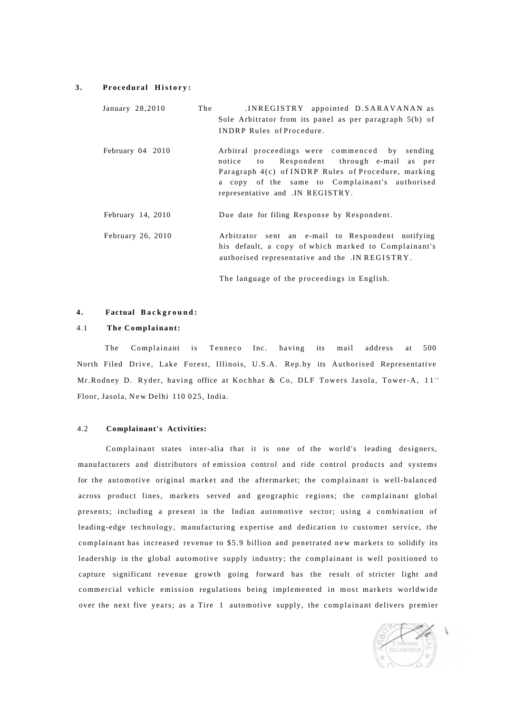#### 3. Procedural History:

| January 28,2010     | The | INREGISTRY appointed D.SARAVANAN as<br>Sole Arbitrator from its panel as per paragraph 5(b) of<br><b>INDRP Rules of Procedure.</b>                                                                                                                    |
|---------------------|-----|-------------------------------------------------------------------------------------------------------------------------------------------------------------------------------------------------------------------------------------------------------|
| February 04 2010    |     | Arbitral proceedings were commenced by<br>sending<br>Respondent through e-mail as per<br>notice<br>to to<br>Paragraph 4(c) of INDRP Rules of Procedure, marking<br>a copy of the same to Complainant's authorised<br>representative and .IN REGISTRY. |
| February $14, 2010$ |     | Due date for filing Response by Respondent.                                                                                                                                                                                                           |
| February 26, 2010   |     | Arbitrator sent an e-mail to Respondent notifying<br>his default, a copy of which marked to Complainant's<br>authorised representative and the .IN REGISTRY.                                                                                          |
|                     |     | The language of the proceedings in English.                                                                                                                                                                                                           |

# **4 . Factual Background :**

# 4.1 **The Complainant:**

The Complainant is Tenneco Inc. having its mail address at 500 North Filed Drive, Lake Forest, Illinois, U.S.A. Rep.by its Authorised Representative Floor, Jasola, New Delhi 110 025, India. Mr.Rodney D. Ryder, having office at Kochhar & Co, DLF Towers Jasola, Tower-A, 11<sup>th</sup>

#### 4.2 **Complainant's Activities:**

Complainant states inter-alia that it is one of the world's leading designers, manufacturers and distributors of emission control and ride control products and systems for the automotive original market and the aftermarket; the complainant is well-balanced across product lines, markets served and geographic regions; the complainant global presents; including a present in the Indian automotive sector; using a combination of leading-edge technology, manufacturing expertise and dedication to customer service, the complainant has increased revenue to \$5.9 billion and penetrated new markets to solidify its leadership in the global automotive supply industry; the complainant is well positioned to capture significant revenue growth going forward has the result of stricter light and commercial vehicle emission regulations being implemented in most markets worldwide over the next five years; as a Tire 1 automotive supply, the complainant delivers premier

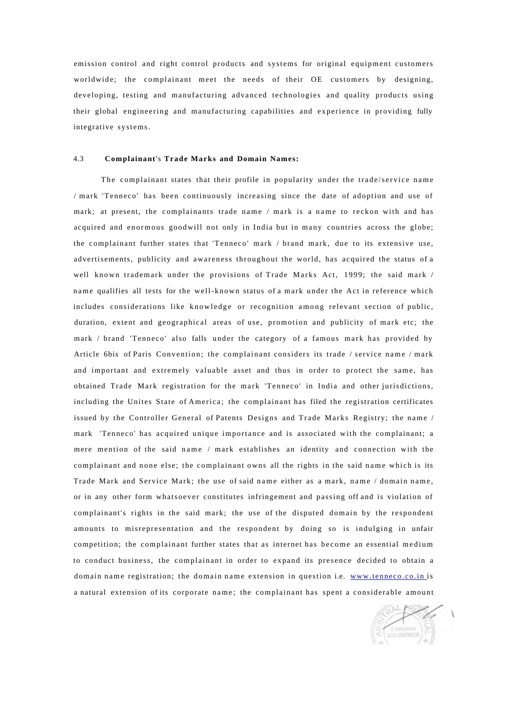emission control and right control products and systems for original equipment customers worldwide; the complainant meet the needs of their OE customers by designing, developing, testing and manufacturing advanced technologies and quality products using their global engineering and manufacturing capabilities and experience in providing fully integrative systems.

#### 4.3 **Complainant**'s **Trade Marks and Domain Names:**

The complainant states that their profile in popularity under the trade/service name / mark 'Tenneco' has been continuously increasing since the date of adoption and use of mark; at present, the complainants trade name / mark is a name to reckon with and has acquired and enormous goodwill not only in India but in many countries across the globe; the complainant further states that 'Tenneco' mark / brand mark, due to its extensive use, advertisements, publicity and awareness throughout the world, has acquired the status of a well known trademark under the provisions of Trade Marks Act, 1999; the said mark / name qualifies all tests for the well-known status of a mark under the Act in reference which includes considerations like knowledge or recognition among relevant section of public, duration, extent and geographical areas of use, promotion and publicity of mark etc; the mark / brand 'Tenneco' also falls under the category of a famous mark has provided by Article 6bis of Paris Convention; the complainant considers its trade / service name / mark and important and extremely valuable asset and thus in order to protect the same, has obtained Trade Mark registration for the mark 'Tenneco' in India and other jurisdictions, including the Unites State of America; the complainant has filed the registration certificates issued by the Controller General of Patents Designs and Trade Marks Registry; the name / mark 'Tenneco' has acquired unique importance and is associated with the complainant; a mere mention of the said name / mark establishes an identity and connection with the complainant and none else; the complainant owns all the rights in the said name which is its Trade Mark and Service Mark; the use of said name either as a mark, name / domain name, or in any other form whatsoever constitutes infringement and passing off and is violation of complainant's rights in the said mark; the use of the disputed domain by the respondent amounts to misrepresentation and the respondent by doing so is indulging in unfair competition; the complainant further states that as internet has become an essential medium to conduct business, the complainant in order to expand its presence decided to obtain a domain name registration; the domain name extension in question i.e. [www.tenneco.co.in i](http://www.tenneco.co.in)s a natural extension of its corporate name; the complainant has spent a considerable amount

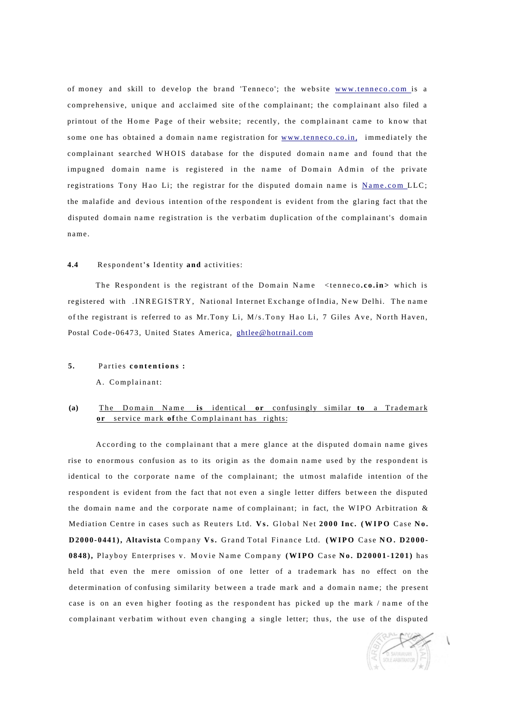of money and skill to develop the brand 'Tenneco'; the website [www.tenneco.com i](http://www.tenneco.com)s a comprehensive, unique and acclaimed site of the complainant; the complainant also filed a printout of the Home Page of their website; recently, the complainant came to know that some one has obtained a domain name registration for [www.tenneco.co.in, i](http://www.tenneco.co.in)mmediately the complainant searched WHOIS database for the disputed domain name and found that the impugned domain name is registered in the name of Domain Admin of the private registrations Tony Hao Li; the registrar for the disputed domain name is [Name.com L](http://Name.com)LC; the malafide and devious intention of the respondent is evident from the glaring fact that the disputed domain name registration is the verbatim duplication of the complainant's domain name .

## **4.4** Respondent**'s** Identity **and** activities:

The Respondent is the registrant of the Domain Name <tenneco.co.in> which is registered with .INREGISTRY, National Internet Exchange of India, New Delhi. The name of the registrant is referred to as Mr. Tony Li, M/s. Tony Hao Li, 7 Giles Ave, North Haven, Postal Code-06473, United States America, [ghtlee@hotrnail.com](mailto:ghtlee@hotmail.com)

#### 5. Parties contentions :

A. Complainant:

# **or** service mark of the Complainant has rights: **(a)** The Domain Name is identical or confusingly similar to a Trademark

According to the complainant that a mere glance at the disputed domain name gives rise to enormous confusion as to its origin as the domain name used by the respondent is identical to the corporate name of the complainant; the utmost malafide intention of the respondent is evident from the fact that not even a single letter differs between the disputed the domain name and the corporate name of complainant; in fact, the WIPO Arbitration  $\&$ Mediation Centre in cases such as Reuters Ltd. Vs. Global Net 2000 Inc. (WIPO Case No. D2000-0441), Altavista Company Vs. Grand Total Finance Ltd. (WIPO Case NO. D2000-**0848)**, Playboy Enterprises v. Movie Name Company (WIPO Case No. D20001-1201) has held that even the mere omission of one letter of a trademark has no effect on the determination of confusing similarity between a trade mark and a domain name; the present case is on an even higher footing as the respondent has picked up the mark  $/$  name of the complainant verbatim without even changing a single letter; thus, the use of the disputed

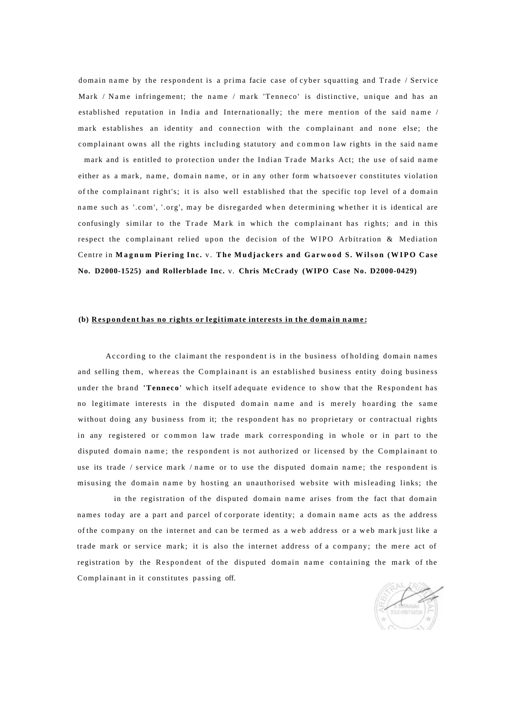domain name by the respondent is a prima facie case of cyber squatting and Trade / Service Mark / Name infringement; the name / mark 'Tenneco' is distinctive, unique and has an established reputation in India and Internationally; the mere mention of the said name / mark establishes an identity and connection with the complainant and none else; the complainant owns all the rights including statutory and common law rights in the said name mark and is entitled to protection under the Indian Trade Marks Act; the use of said name either as a mark, name, domain name, or in any other form whatsoever constitutes violation of the complainant right's; it is also well established that the specific top level of a domain name such as '.com', '.org', may be disregarded when determining whether it is identical are confusingly similar to the Trade Mark in which the complainant has rights; and in this respect the complainant relied upon the decision of the WIPO Arbitration & Mediation Centre in **Magnu m Piering Inc .** v. **Th e Mudjacker s and Garwoo d S. Wilso n (WIPO Cas e No. D2000-1525) and Rollerblade Inc.** v. **Chris McCrady (WIPO Case No. D2000-0429)** 

# (b) Respondent has no rights or legitimate interests in the domain name:

According to the claimant the respondent is in the business of holding domain names and selling them, whereas the Complainant is an established business entity doing business under the brand **'Tenneco'** which itself adequate evidence to show that the Respondent has no legitimate interests in the disputed domain name and is merely hoarding the same without doing any business from it; the respondent has no proprietary or contractual rights in any registered or common law trade mark corresponding in whole or in part to the disputed domain name; the respondent is not authorized or licensed by the Complainant to use its trade / service mark / name or to use the disputed domain name; the respondent is misusing the domain name by hosting an unauthorised website with misleading links; the

in the registration of the disputed domain name arises from the fact that domain names today are a part and parcel of corporate identity; a domain name acts as the address of the company on the internet and can be termed as a web address or a web mark just like a trade mark or service mark; it is also the internet address of a company; the mere act of registration by the Respondent of the disputed domain name containing the mark of the Complainant in it constitutes passing off.

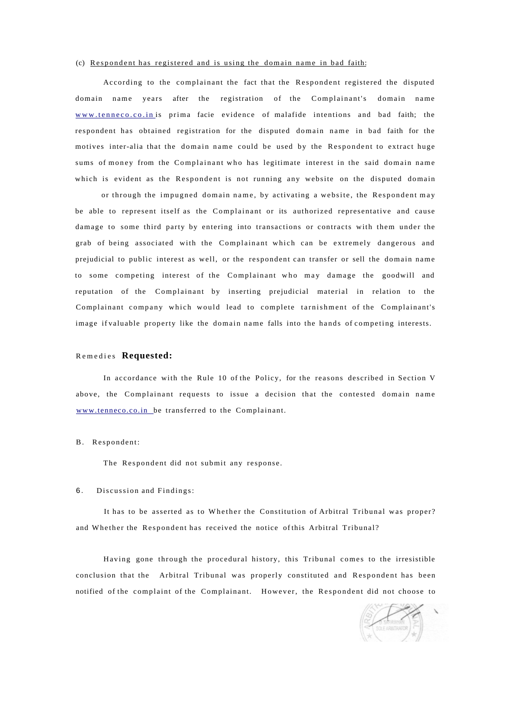#### (c) Respondent has registered and is using the domain name in bad faith:

According to the complainant the fact that the Respondent registered the disputed domain name years after the registration of the Complainant's domain name [www.tenneco.co.i](http://www.tenneco.co.in)n is prima facie evidence of malafide intentions and bad faith; the respondent has obtained registration for the disputed domain name in bad faith for the motives inter-alia that the domain name could be used by the Respondent to extract huge sums of money from the Complainant who has legitimate interest in the said domain name which is evident as the Respondent is not running any website on the disputed domain

or through the impugned domain name, by activating a website, the Respondent may be able to represent itself as the Complainant or its authorized representative and cause damage to some third party by entering into transactions or contracts with them under the grab of being associated with the Complainant which can be extremely dangerous and prejudicial to public interest as well, or the respondent can transfer or sell the domain name to some competing interest of the Complainant who may damage the goodwill and reputation of the Complainant by inserting prejudicial material in relation to the Complainant company which would lead to complete tarnishment of the Complainant's image if valuable property like the domain name falls into the hands of competing interests.

#### Remedie s **Requested:**

In accordance with the Rule 10 of the Policy, for the reasons described in Section V above, the Complainant requests to issue a decision that the contested domain name [www.tenneco.co.in b](http://www.tenneco.co.in)e transferred to the Complainant.

#### B. Respondent:

The Respondent did not submit any response.

#### 6. Discussion and Findings:

It has to be asserted as to Whether the Constitution of Arbitral Tribunal was proper? and Whether the Respondent has received the notice of this Arbitral Tribunal?

Having gone through the procedural history, this Tribunal comes to the irresistible conclusion that the Arbitral Tribunal was properly constituted and Respondent has been notified of the complaint of the Complainant. However, the Respondent did not choose to

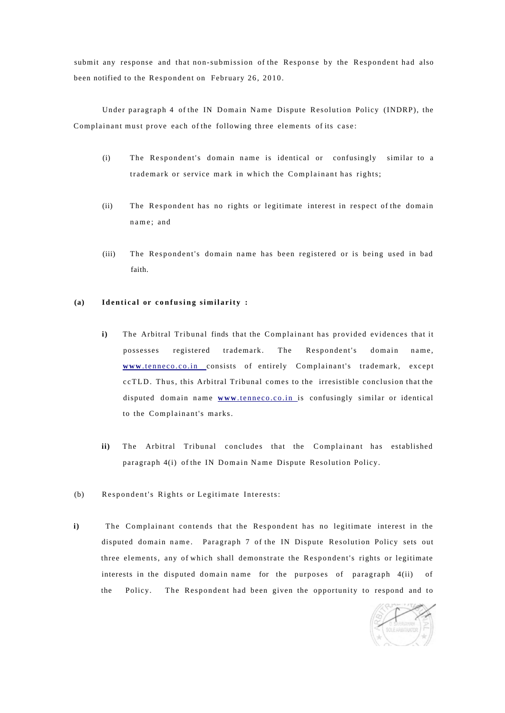submit any response and that non-submission of the Response by the Respondent had also been notified to the Respondent on February 26, 2010.

Under paragraph 4 of the IN Domain Name Dispute Resolution Policy (INDRP), the Complainant must prove each of the following three elements of its case :

- (i) The Respondent's domain name is identical or confusingly similar to a trademark or service mark in which the Complainant has rights;
- (ii) The Respondent has no rights or legitimate interest in respect of the domain name ; and
- (iii) The Respondent's domain name has been registered or is being used in bad faith.

# **(a)** Identical or confusing similarity :

- **i**) The Arbitral Tribunal finds that the Complainant has provided evidences that it possesses registered trademark. The Respondent's domain name, www[.tenneco.co.i](http://www.tenneco.co.in)n consists of entirely Complainant's trademark, except ccTLD. Thus, this Arbitral Tribunal comes to the irresistible conclusion that the disputed domain name www[.tenneco.co.i](http://www.tenneco.co.in)n is confusingly similar or identical to the Complainant's marks.
- ii) The Arbitral Tribunal concludes that the Complainant has established paragraph 4(i) of the IN Domain Name Dispute Resolution Policy.
- (b) Respondent's Rights or Legitimate Interests:
- **i)** The Complainant contends that the Respondent has no legitimate interest in the disputed domain name . Paragraph 7 of the IN Dispute Resolution Policy sets out three elements, any of which shall demonstrate the Respondent's rights or legitimate interests in the disputed domain name for the purposes of paragraph  $4(ii)$  of the Policy. The Respondent had been given the opportunity to respond and to

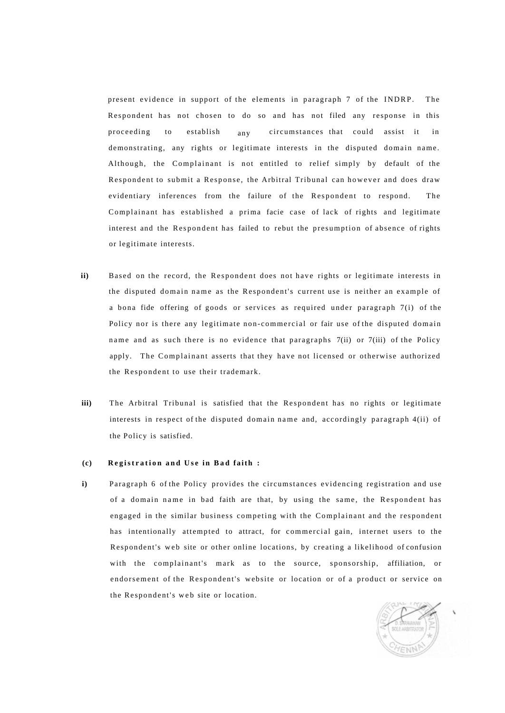present evidence in support of the elements in paragraph 7 of the INDRP. The Respondent has not chosen to do so and has not filed any response in this demonstrating, any rights or legitimate interests in the disputed domain name. Although, the Complainant is not entitled to relief simply by default of the Respondent to submit a Response, the Arbitral Tribunal can however and does draw evidentiary inferences from the failure of the Respondent to respond. The Complainant has established a prima facie case of lack of rights and legitimate interest and the Respondent has failed to rebut the presumption of absence of rights or legitimate interests. proceeding to establish any circumstances that could assist it in

- **ii)**  Based on the record, the Respondent does not have rights or legitimate interests in the disputed domain name as the Respondent's current use is neither an example of a bona fide offering of goods or services as required under paragraph  $7(i)$  of the Policy nor is there any legitimate non-commercial or fair use of the disputed domain name and as such there is no evidence that paragraphs  $7(ii)$  or  $7(iii)$  of the Policy apply. The Complainant asserts that they have not licensed or otherwise authorized the Respondent to use their trademark.
- **iii)**  The Arbitral Tribunal is satisfied that the Respondent has no rights or legitimate interests in respect of the disputed domain name and, accordingly paragraph 4(ii) of the Policy is satisfied.

#### **(c) Registratio n an d Us e in Ba d faith :**

**i)**  Paragraph 6 of the Policy provides the circumstances evidencing registration and use of a domain name in bad faith are that, by using the same, the Respondent has engaged in the similar business competing with the Complainant and the respondent has intentionally attempted to attract, for commercial gain, internet users to the Respondent's web site or other online locations, by creating a likelihood of confusion with the complainant's mark as to the source, sponsorship, affiliation, or endorsement of the Respondent's website or location or of a product or service on the Respondent's web site or location.